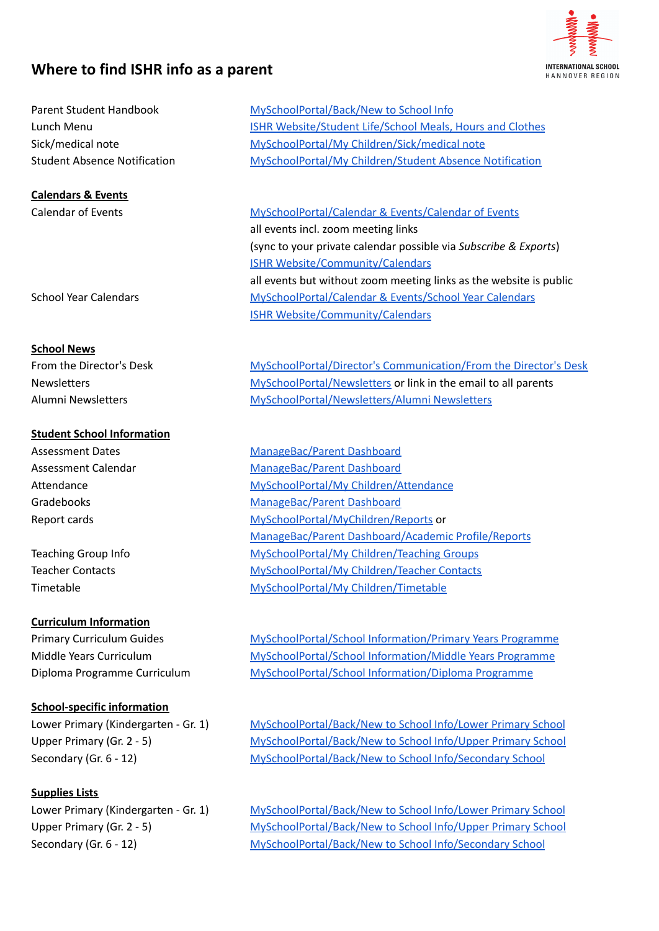# **Where to find ISHR info as a parent**



| Parent Student Handbook             |
|-------------------------------------|
| Lunch Menu                          |
| Sick/medical note                   |
| <b>Student Absence Notification</b> |

### **Calendars & Events**

#### **School News**

### **Student School Information**

### **Curriculum Information**

### **School-specific information**

## **Supplies Lists**

[MySchoolPortal/Back/New](https://is-hr.myschoolportal.co.uk/section/134) to School Info ISHR [Website/Student](https://is-hr.de/student-life/school-meals-hours-and-clothes/) Life/School Meals, Hours and Clothes Sick/medical note MySchoolPortal/My [Children/Sick/medical](https://is-hr.myschoolportal.co.uk/absence/131) note [MySchoolPortal/My](http://myschoolportal/My%20Children/) Children/Student Absence Notification

Calendar of Events [MySchoolPortal/Calendar](https://is-hr.myschoolportal.co.uk/events-list/20) & Events/Calendar of Events all events incl. zoom meeting links (sync to your private calendar possible via *Subscribe & Exports*) ISHR [Website/Community/Calendars](https://is-hr.de/community/calendars/) all events but without zoom meeting links as the website is public School Year Calendars [MySchoolPortal/Calendar](https://is-hr.myschoolportal.co.uk/documents/298) & Events/School Year Calendars ISHR [Website/Community/Calendars](https://is-hr.de/community/calendars/)

From the Director's Desk [MySchoolPortal/Director's](https://is-hr.myschoolportal.co.uk/documents/353) Communication/From the Director's Desk Newsletters [MySchoolPortal/Newsletters](https://is-hr.myschoolportal.co.uk/section/160) or link in the email to all parents Alumni Newsletters [MySchoolPortal/Newsletters/Alumni](https://is-hr.myschoolportal.co.uk/page/344) Newsletters

Assessment Dates [ManageBac/Parent](https://ishr.managebac.com/parent) Dashboard Assessment Calendar [ManageBac/Parent](https://ishr.managebac.com/parent) Dashboard Attendance MySchoolPortal/My [Children/Attendance](https://is-hr.myschoolportal.co.uk/attendance/4) Gradebooks [ManageBac/Parent](https://ishr.managebac.com/parent) Dashboard Report cards [MySchoolPortal/MyChildren/Reports](https://is-hr.myschoolportal.co.uk/pupil-documents/132) or ManageBac/Parent [Dashboard/Academic](https://ishr.managebac.com/parent/academics/reports) Profile/Reports Teaching Group Info [MySchoolPortal/My](http://myschoolportal) Children/Teaching Groups Teacher Contacts [MySchoolPortal/My](https://is-hr.myschoolportal.co.uk/teacher-contacts/11) Children/Teacher Contacts Timetable [MySchoolPortal/My](https://is-hr.myschoolportal.co.uk/timetables/6) Children/Timetable

Primary Curriculum Guides [MySchoolPortal/School](https://is-hr.myschoolportal.co.uk/page/168) Information/Primary Years Programme Middle Years Curriculum [MySchoolPortal/School](https://is-hr.myschoolportal.co.uk/page/169) Information/Middle Years Programme Diploma Programme Curriculum [MySchoolPortal/School](https://is-hr.myschoolportal.co.uk/page/186) Information/Diploma Programme

Lower Primary (Kindergarten - Gr. 1) [MySchoolPortal/Back/New](https://is-hr.myschoolportal.co.uk/page/139) to School Info/Lower Primary School Upper Primary (Gr. 2 - 5) [MySchoolPortal/Back/New](https://is-hr.myschoolportal.co.uk/page/140) to School Info/Upper Primary School Secondary (Gr. 6 - 12) [MySchoolPortal/Back/New](https://is-hr.myschoolportal.co.uk/page/141) to School Info/Secondary School

Lower Primary (Kindergarten - Gr. 1) [MySchoolPortal/Back/New](https://is-hr.myschoolportal.co.uk/page/139) to School Info/Lower Primary School Upper Primary (Gr. 2 - 5) [MySchoolPortal/Back/New](https://is-hr.myschoolportal.co.uk/page/140) to School Info/Upper Primary School Secondary (Gr. 6 - 12) [MySchoolPortal/Back/New](https://is-hr.myschoolportal.co.uk/page/141) to School Info/Secondary School